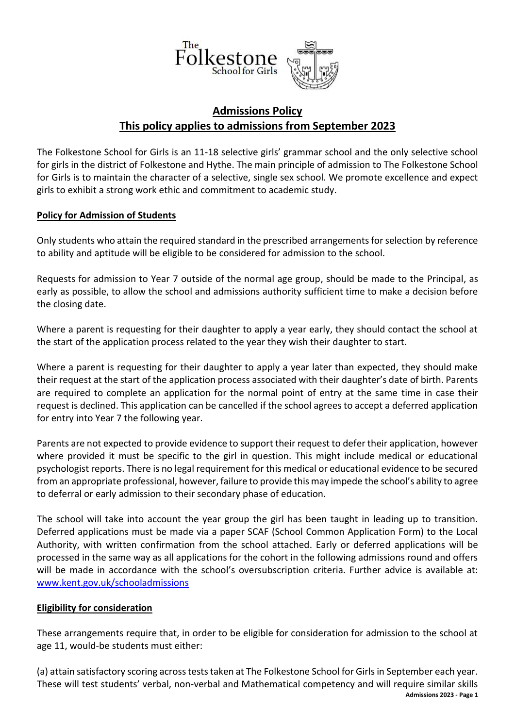

# **Admissions Policy This policy applies to admissions from September 2023**

The Folkestone School for Girls is an 11-18 selective girls' grammar school and the only selective school for girls in the district of Folkestone and Hythe. The main principle of admission to The Folkestone School for Girls is to maintain the character of a selective, single sex school. We promote excellence and expect girls to exhibit a strong work ethic and commitment to academic study.

# **Policy for Admission of Students**

Only students who attain the required standard in the prescribed arrangements for selection by reference to ability and aptitude will be eligible to be considered for admission to the school.

Requests for admission to Year 7 outside of the normal age group, should be made to the Principal, as early as possible, to allow the school and admissions authority sufficient time to make a decision before the closing date.

Where a parent is requesting for their daughter to apply a year early, they should contact the school at the start of the application process related to the year they wish their daughter to start.

Where a parent is requesting for their daughter to apply a year later than expected, they should make their request at the start of the application process associated with their daughter's date of birth. Parents are required to complete an application for the normal point of entry at the same time in case their request is declined. This application can be cancelled if the school agrees to accept a deferred application for entry into Year 7 the following year.

Parents are not expected to provide evidence to support their request to defer their application, however where provided it must be specific to the girl in question. This might include medical or educational psychologist reports. There is no legal requirement for this medical or educational evidence to be secured from an appropriate professional, however, failure to provide this may impede the school's ability to agree to deferral or early admission to their secondary phase of education.

The school will take into account the year group the girl has been taught in leading up to transition. Deferred applications must be made via a paper SCAF (School Common Application Form) to the Local Authority, with written confirmation from the school attached. Early or deferred applications will be processed in the same way as all applications for the cohort in the following admissions round and offers will be made in accordance with the school's oversubscription criteria. Further advice is available at: [www.kent.gov.uk/schooladmissions](http://www.kent.gov.uk/schooladmissions)

## **Eligibility for consideration**

These arrangements require that, in order to be eligible for consideration for admission to the school at age 11, would-be students must either:

 **Admissions 2023 - Page 1** (a) attain satisfactory scoring across tests taken at The Folkestone School for Girls in September each year. These will test students' verbal, non-verbal and Mathematical competency and will require similar skills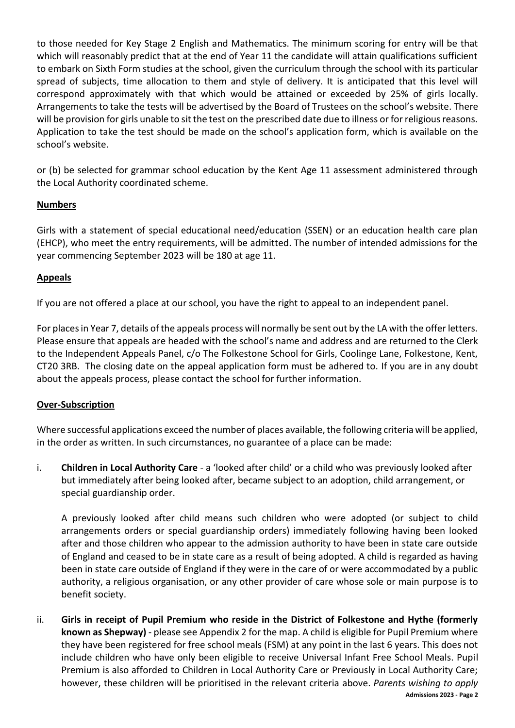to those needed for Key Stage 2 English and Mathematics. The minimum scoring for entry will be that which will reasonably predict that at the end of Year 11 the candidate will attain qualifications sufficient to embark on Sixth Form studies at the school, given the curriculum through the school with its particular spread of subjects, time allocation to them and style of delivery. It is anticipated that this level will correspond approximately with that which would be attained or exceeded by 25% of girls locally. Arrangements to take the tests will be advertised by the Board of Trustees on the school's website. There will be provision for girls unable to sit the test on the prescribed date due to illness or for religious reasons. Application to take the test should be made on the school's application form, which is available on the school's website.

or (b) be selected for grammar school education by the Kent Age 11 assessment administered through the Local Authority coordinated scheme.

# **Numbers**

Girls with a statement of special educational need/education (SSEN) or an education health care plan (EHCP), who meet the entry requirements, will be admitted. The number of intended admissions for the year commencing September 2023 will be 180 at age 11.

# **Appeals**

If you are not offered a place at our school, you have the right to appeal to an independent panel.

For places in Year 7, details of the appeals process will normally be sent out by the LA with the offer letters. Please ensure that appeals are headed with the school's name and address and are returned to the Clerk to the Independent Appeals Panel, c/o The Folkestone School for Girls, Coolinge Lane, Folkestone, Kent, CT20 3RB. The closing date on the appeal application form must be adhered to. If you are in any doubt about the appeals process, please contact the school for further information.

## **Over-Subscription**

Where successful applications exceed the number of places available, the following criteria will be applied, in the order as written. In such circumstances, no guarantee of a place can be made:

i. **Children in Local Authority Care** - a 'looked after child' or a child who was previously looked after but immediately after being looked after, became subject to an adoption, child arrangement, or special guardianship order.

A previously looked after child means such children who were adopted (or subject to child arrangements orders or special guardianship orders) immediately following having been looked after and those children who appear to the admission authority to have been in state care outside of England and ceased to be in state care as a result of being adopted. A child is regarded as having been in state care outside of England if they were in the care of or were accommodated by a public authority, a religious organisation, or any other provider of care whose sole or main purpose is to benefit society.

 **Admissions 2023 - Page 2** ii. **Girls in receipt of Pupil Premium who reside in the District of Folkestone and Hythe (formerly known as Shepway)** - please see Appendix 2 for the map. A child is eligible for Pupil Premium where they have been registered for free school meals (FSM) at any point in the last 6 years. This does not include children who have only been eligible to receive Universal Infant Free School Meals. Pupil Premium is also afforded to Children in Local Authority Care or Previously in Local Authority Care; however, these children will be prioritised in the relevant criteria above. *Parents wishing to apply*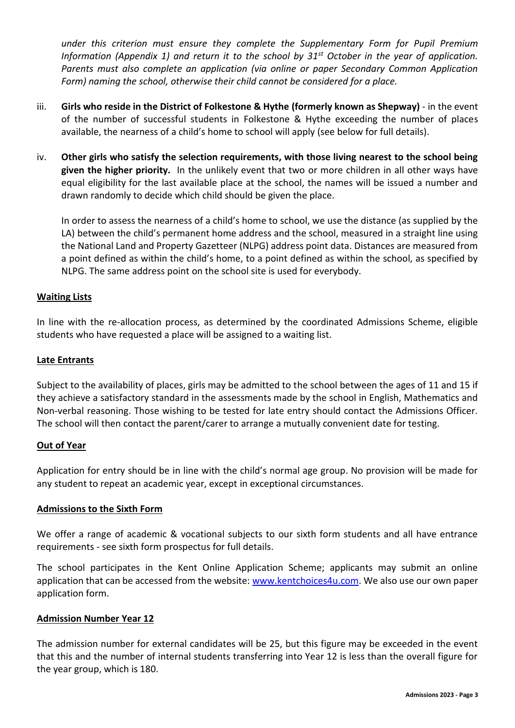*under this criterion must ensure they complete the Supplementary Form for Pupil Premium Information (Appendix 1) and return it to the school by 31st October in the year of application. Parents must also complete an application (via online or paper Secondary Common Application Form) naming the school, otherwise their child cannot be considered for a place.*

- iii. **Girls who reside in the District of Folkestone & Hythe (formerly known as Shepway)** in the event of the number of successful students in Folkestone & Hythe exceeding the number of places available, the nearness of a child's home to school will apply (see below for full details).
- iv. **Other girls who satisfy the selection requirements, with those living nearest to the school being given the higher priority.** In the unlikely event that two or more children in all other ways have equal eligibility for the last available place at the school, the names will be issued a number and drawn randomly to decide which child should be given the place.

In order to assess the nearness of a child's home to school, we use the distance (as supplied by the LA) between the child's permanent home address and the school, measured in a straight line using the National Land and Property Gazetteer (NLPG) address point data. Distances are measured from a point defined as within the child's home, to a point defined as within the school, as specified by NLPG. The same address point on the school site is used for everybody.

## **Waiting Lists**

In line with the re-allocation process, as determined by the coordinated Admissions Scheme, eligible students who have requested a place will be assigned to a waiting list.

#### **Late Entrants**

Subject to the availability of places, girls may be admitted to the school between the ages of 11 and 15 if they achieve a satisfactory standard in the assessments made by the school in English, Mathematics and Non-verbal reasoning. Those wishing to be tested for late entry should contact the Admissions Officer. The school will then contact the parent/carer to arrange a mutually convenient date for testing.

## **Out of Year**

Application for entry should be in line with the child's normal age group. No provision will be made for any student to repeat an academic year, except in exceptional circumstances.

#### **Admissions to the Sixth Form**

We offer a range of academic & vocational subjects to our sixth form students and all have entrance requirements - see sixth form prospectus for full details.

The school participates in the Kent Online Application Scheme; applicants may submit an online application that can be accessed from the website[: www.kentchoices4u.com.](http://www.kentchoices4u.com/) We also use our own paper application form.

## **Admission Number Year 12**

The admission number for external candidates will be 25, but this figure may be exceeded in the event that this and the number of internal students transferring into Year 12 is less than the overall figure for the year group, which is 180.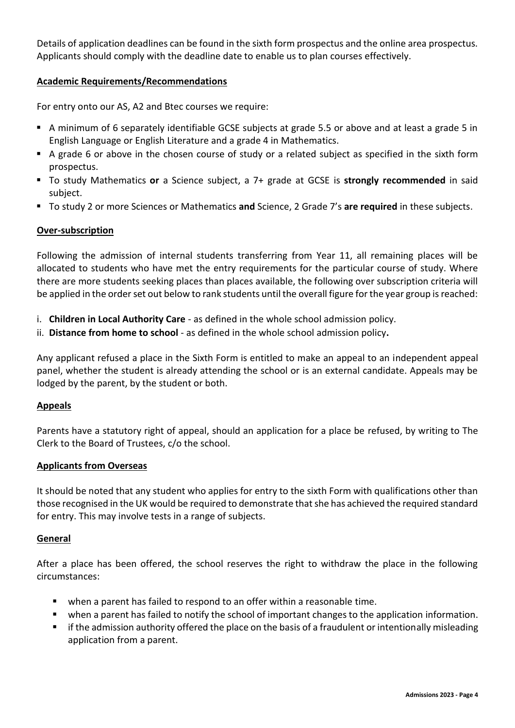Details of application deadlines can be found in the sixth form prospectus and the online area prospectus. Applicants should comply with the deadline date to enable us to plan courses effectively.

## **Academic Requirements/Recommendations**

For entry onto our AS, A2 and Btec courses we require:

- A minimum of 6 separately identifiable GCSE subjects at grade 5.5 or above and at least a grade 5 in English Language or English Literature and a grade 4 in Mathematics.
- A grade 6 or above in the chosen course of study or a related subject as specified in the sixth form prospectus.
- To study Mathematics **or** a Science subject, a 7+ grade at GCSE is **strongly recommended** in said subject.
- To study 2 or more Sciences or Mathematics and Science, 2 Grade 7's are required in these subjects.

# **Over-subscription**

Following the admission of internal students transferring from Year 11, all remaining places will be allocated to students who have met the entry requirements for the particular course of study. Where there are more students seeking places than places available, the following over subscription criteria will be applied in the order set out below to rank students until the overall figure for the year group is reached:

- i. **Children in Local Authority Care**  as defined in the whole school admission policy.
- ii. **Distance from home to school**  as defined in the whole school admission policy**.**

Any applicant refused a place in the Sixth Form is entitled to make an appeal to an independent appeal panel, whether the student is already attending the school or is an external candidate. Appeals may be lodged by the parent, by the student or both.

## **Appeals**

Parents have a statutory right of appeal, should an application for a place be refused, by writing to The Clerk to the Board of Trustees, c/o the school.

## **Applicants from Overseas**

It should be noted that any student who applies for entry to the sixth Form with qualifications other than those recognised in the UK would be required to demonstrate that she has achieved the required standard for entry. This may involve tests in a range of subjects.

## **General**

After a place has been offered, the school reserves the right to withdraw the place in the following circumstances:

- when a parent has failed to respond to an offer within a reasonable time.
- when a parent has failed to notify the school of important changes to the application information.
- if the admission authority offered the place on the basis of a fraudulent or intentionally misleading application from a parent.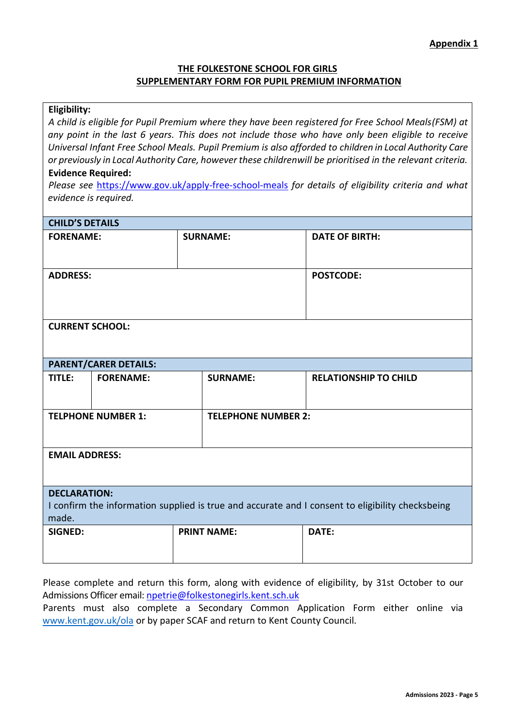## **THE FOLKESTONE SCHOOL FOR GIRLS SUPPLEMENTARY FORM FOR PUPIL PREMIUM INFORMATION**

## **Eligibility:**

*A child is eligible for Pupil Premium where they have been registered for Free School Meals(FSM) at any point in the last 6 years. This does not include those who have only been eligible to receive Universal Infant Free School Meals. Pupil Premium is also afforded to children in Local Authority Care or previously in Local Authority Care, however these childrenwill be prioritised in the relevant criteria.*

#### **Evidence Required:**

*Please see* <https://www.gov.uk/apply-free-school-meals> *for details of eligibility criteria and what evidence is required.*

| <b>CHILD'S DETAILS</b>                                                                                                           |                           |                    |                              |  |
|----------------------------------------------------------------------------------------------------------------------------------|---------------------------|--------------------|------------------------------|--|
| <b>FORENAME:</b>                                                                                                                 |                           | <b>SURNAME:</b>    | <b>DATE OF BIRTH:</b>        |  |
| <b>ADDRESS:</b>                                                                                                                  |                           |                    | <b>POSTCODE:</b>             |  |
| <b>CURRENT SCHOOL:</b>                                                                                                           |                           |                    |                              |  |
| <b>PARENT/CARER DETAILS:</b>                                                                                                     |                           |                    |                              |  |
| TITLE:                                                                                                                           | <b>FORENAME:</b>          | <b>SURNAME:</b>    | <b>RELATIONSHIP TO CHILD</b> |  |
|                                                                                                                                  | <b>TELPHONE NUMBER 1:</b> |                    | <b>TELEPHONE NUMBER 2:</b>   |  |
| <b>EMAIL ADDRESS:</b>                                                                                                            |                           |                    |                              |  |
| <b>DECLARATION:</b><br>I confirm the information supplied is true and accurate and I consent to eligibility checksbeing<br>made. |                           |                    |                              |  |
| <b>SIGNED:</b>                                                                                                                   |                           | <b>PRINT NAME:</b> | DATE:                        |  |

Please complete and return this form, along with evidence of eligibility, by 31st October to our Admissions Officer email: [npetrie@folkestonegirls.kent.sch.uk](mailto:npetrie@folkestonegirls.kent.sch.uk)

Parents must also complete a Secondary Common Application Form either online via [www.kent.gov.uk/ola](http://www.kent.gov.uk/ola) or by paper SCAF and return to Kent County Council.